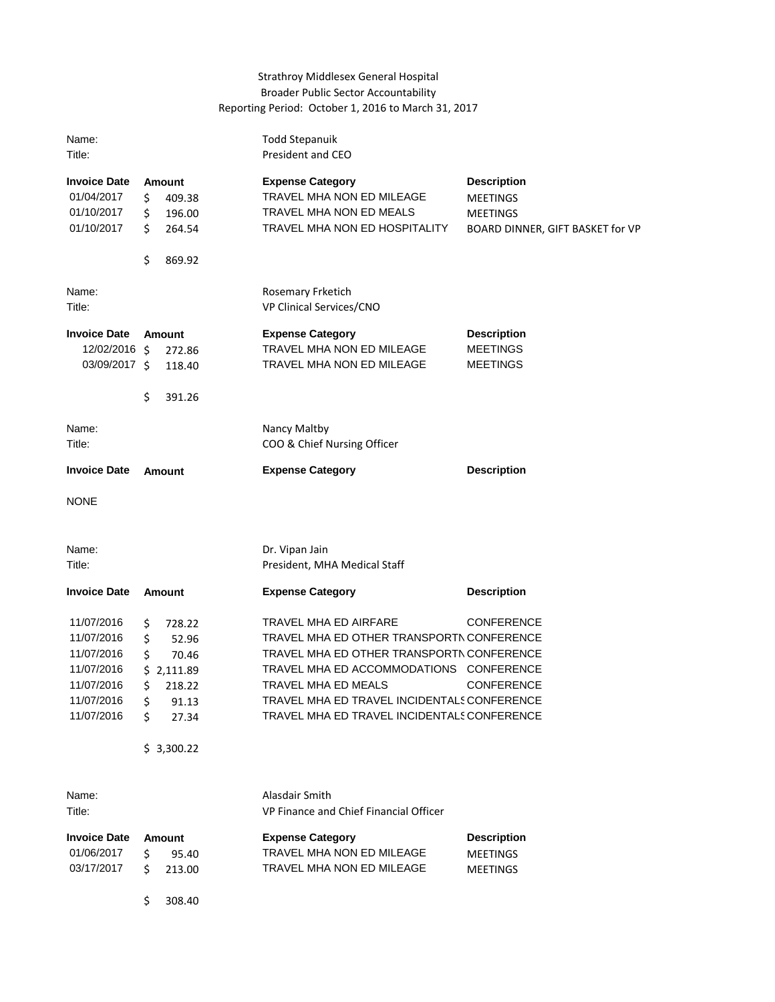## Strathroy Middlesex General Hospital Broader Public Sector Accountability Reporting Period: October 1, 2016 to March 31, 2017

| Name:<br>Title:                                                                                |                                  |                                                                    | <b>Todd Stepanuik</b><br>President and CEO                                                                                                                                                                                                                                             |                                                                                              |
|------------------------------------------------------------------------------------------------|----------------------------------|--------------------------------------------------------------------|----------------------------------------------------------------------------------------------------------------------------------------------------------------------------------------------------------------------------------------------------------------------------------------|----------------------------------------------------------------------------------------------|
| <b>Invoice Date</b><br>01/04/2017<br>01/10/2017<br>01/10/2017                                  | \$<br>\$<br>\$                   | Amount<br>409.38<br>196.00<br>264.54                               | <b>Expense Category</b><br>TRAVEL MHA NON ED MILEAGE<br>TRAVEL MHA NON ED MEALS<br>TRAVEL MHA NON ED HOSPITALITY                                                                                                                                                                       | <b>Description</b><br><b>MEETINGS</b><br><b>MEETINGS</b><br>BOARD DINNER, GIFT BASKET for VP |
|                                                                                                | \$                               | 869.92                                                             |                                                                                                                                                                                                                                                                                        |                                                                                              |
| Name:<br>Title:                                                                                |                                  |                                                                    | Rosemary Frketich<br>VP Clinical Services/CNO                                                                                                                                                                                                                                          |                                                                                              |
| <b>Invoice Date</b><br>12/02/2016 \$<br>03/09/2017 \$                                          | \$                               | <b>Amount</b><br>272.86<br>118.40<br>391.26                        | <b>Expense Category</b><br>TRAVEL MHA NON ED MILEAGE<br>TRAVEL MHA NON ED MILEAGE                                                                                                                                                                                                      | <b>Description</b><br><b>MEETINGS</b><br><b>MEETINGS</b>                                     |
| Name:<br>Title:                                                                                |                                  |                                                                    | Nancy Maltby<br>COO & Chief Nursing Officer                                                                                                                                                                                                                                            |                                                                                              |
| <b>Invoice Date</b>                                                                            |                                  | <b>Amount</b>                                                      | <b>Expense Category</b>                                                                                                                                                                                                                                                                | <b>Description</b>                                                                           |
| <b>NONE</b>                                                                                    |                                  |                                                                    |                                                                                                                                                                                                                                                                                        |                                                                                              |
| Name:<br>Title:                                                                                |                                  |                                                                    | Dr. Vipan Jain<br>President, MHA Medical Staff                                                                                                                                                                                                                                         |                                                                                              |
| <b>Invoice Date</b>                                                                            |                                  | <b>Amount</b>                                                      | <b>Expense Category</b>                                                                                                                                                                                                                                                                | <b>Description</b>                                                                           |
| 11/07/2016<br>11/07/2016<br>11/07/2016<br>11/07/2016<br>11/07/2016<br>11/07/2016<br>11/07/2016 | \$<br>\$<br>\$<br>\$<br>Ś.<br>Ś. | 728.22<br>52.96<br>70.46<br>\$2,111.89<br>218.22<br>91.13<br>27.34 | TRAVEL MHA ED AIRFARE<br>TRAVEL MHA ED OTHER TRANSPORTN CONFERENCE<br>TRAVEL MHA ED OTHER TRANSPORTN CONFERENCE<br>TRAVEL MHA ED ACCOMMODATIONS CONFERENCE<br>TRAVEL MHA ED MEALS<br><b>TRAVEL MHA ED TRAVEL INCIDENTALS CONFERENCE</b><br>TRAVEL MHA ED TRAVEL INCIDENTALS CONFERENCE | <b>CONFERENCE</b><br><b>CONFERENCE</b>                                                       |
|                                                                                                |                                  | \$3,300.22                                                         |                                                                                                                                                                                                                                                                                        |                                                                                              |
| Name:<br>Title:                                                                                |                                  |                                                                    | Alasdair Smith<br>VP Finance and Chief Financial Officer                                                                                                                                                                                                                               |                                                                                              |
| <b>Invoice Date</b><br>01/06/2017<br>03/17/2017                                                | \$<br>Ś.                         | <b>Amount</b><br>95.40<br>213.00                                   | <b>Expense Category</b><br>TRAVEL MHA NON ED MILEAGE<br>TRAVEL MHA NON ED MILEAGE                                                                                                                                                                                                      | <b>Description</b><br><b>MEETINGS</b><br><b>MEETINGS</b>                                     |

\$ 308.40